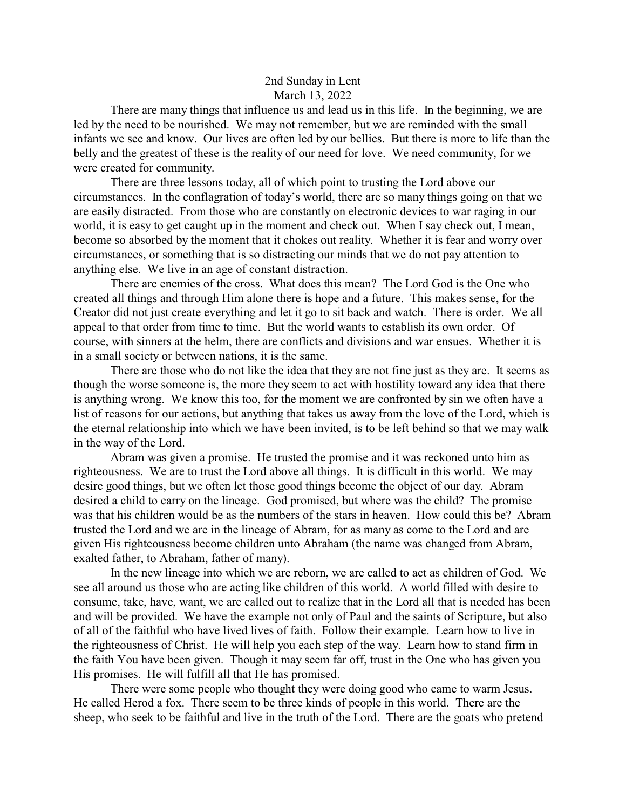## 2nd Sunday in Lent March 13, 2022

There are many things that influence us and lead us in this life. In the beginning, we are led by the need to be nourished. We may not remember, but we are reminded with the small infants we see and know. Our lives are often led by our bellies. But there is more to life than the belly and the greatest of these is the reality of our need for love. We need community, for we were created for community.

There are three lessons today, all of which point to trusting the Lord above our circumstances. In the conflagration of today's world, there are so many things going on that we are easily distracted. From those who are constantly on electronic devices to war raging in our world, it is easy to get caught up in the moment and check out. When I say check out, I mean, become so absorbed by the moment that it chokes out reality. Whether it is fear and worry over circumstances, or something that is so distracting our minds that we do not pay attention to anything else. We live in an age of constant distraction.

There are enemies of the cross. What does this mean? The Lord God is the One who created all things and through Him alone there is hope and a future. This makes sense, for the Creator did not just create everything and let it go to sit back and watch. There is order. We all appeal to that order from time to time. But the world wants to establish its own order. Of course, with sinners at the helm, there are conflicts and divisions and war ensues. Whether it is in a small society or between nations, it is the same.

There are those who do not like the idea that they are not fine just as they are. It seems as though the worse someone is, the more they seem to act with hostility toward any idea that there is anything wrong. We know this too, for the moment we are confronted by sin we often have a list of reasons for our actions, but anything that takes us away from the love of the Lord, which is the eternal relationship into which we have been invited, is to be left behind so that we may walk in the way of the Lord.

Abram was given a promise. He trusted the promise and it was reckoned unto him as righteousness. We are to trust the Lord above all things. It is difficult in this world. We may desire good things, but we often let those good things become the object of our day. Abram desired a child to carry on the lineage. God promised, but where was the child? The promise was that his children would be as the numbers of the stars in heaven. How could this be? Abram trusted the Lord and we are in the lineage of Abram, for as many as come to the Lord and are given His righteousness become children unto Abraham (the name was changed from Abram, exalted father, to Abraham, father of many).

In the new lineage into which we are reborn, we are called to act as children of God. We see all around us those who are acting like children of this world. A world filled with desire to consume, take, have, want, we are called out to realize that in the Lord all that is needed has been and will be provided. We have the example not only of Paul and the saints of Scripture, but also of all of the faithful who have lived lives of faith. Follow their example. Learn how to live in the righteousness of Christ. He will help you each step of the way. Learn how to stand firm in the faith You have been given. Though it may seem far off, trust in the One who has given you His promises. He will fulfill all that He has promised.

There were some people who thought they were doing good who came to warm Jesus. He called Herod a fox. There seem to be three kinds of people in this world. There are the sheep, who seek to be faithful and live in the truth of the Lord. There are the goats who pretend